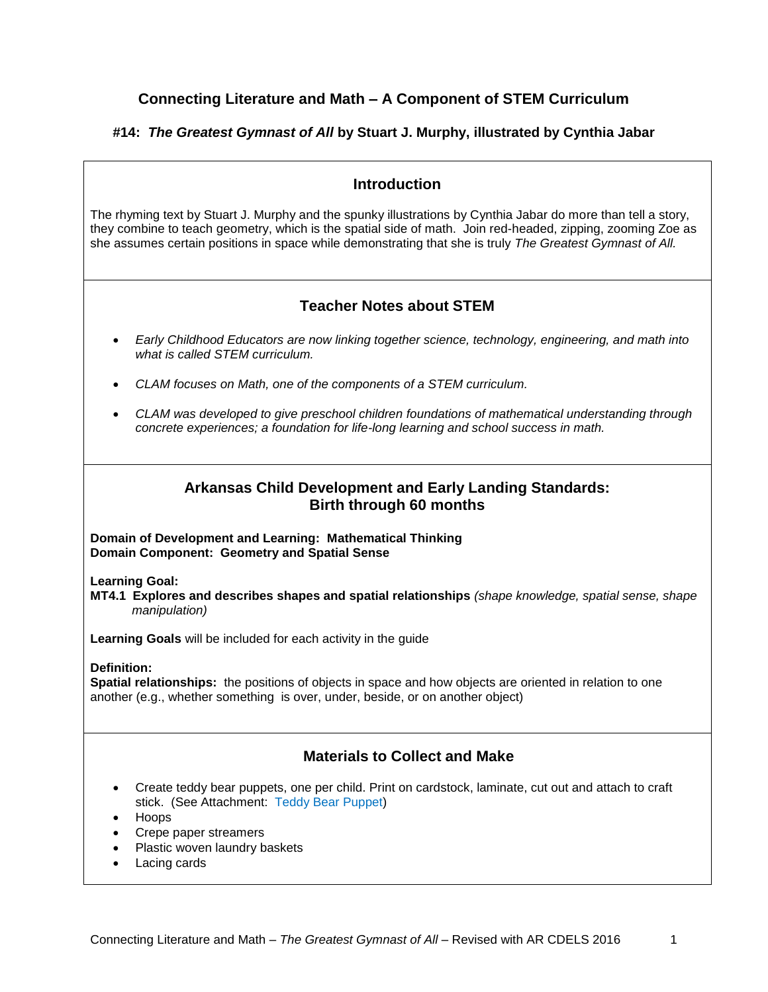## **Connecting Literature and Math – A Component of STEM Curriculum**

## **#14:** *The Greatest Gymnast of All* **by Stuart J. Murphy, illustrated by Cynthia Jabar**

## **Introduction**

The rhyming text by Stuart J. Murphy and the spunky illustrations by Cynthia Jabar do more than tell a story, they combine to teach geometry, which is the spatial side of math. Join red-headed, zipping, zooming Zoe as she assumes certain positions in space while demonstrating that she is truly *The Greatest Gymnast of All.*

## **Teacher Notes about STEM**

- *Early Childhood Educators are now linking together science, technology, engineering, and math into what is called STEM curriculum.*
- *CLAM focuses on Math, one of the components of a STEM curriculum.*
- *CLAM was developed to give preschool children foundations of mathematical understanding through concrete experiences; a foundation for life-long learning and school success in math.*

## **Arkansas Child Development and Early Landing Standards: Birth through 60 months**

**Domain of Development and Learning: Mathematical Thinking Domain Component: Geometry and Spatial Sense**

#### **Learning Goal:**

**MT4.1 Explores and describes shapes and spatial relationships** *(shape knowledge, spatial sense, shape manipulation)*

**Learning Goals** will be included for each activity in the guide

#### **Definition:**

**Spatial relationships:** the positions of objects in space and how objects are oriented in relation to one another (e.g., whether something is over, under, beside, or on another object)

## **Materials to Collect and Make**

- Create teddy bear puppets, one per child. Print on cardstock, laminate, cut out and attach to craft stick. (See Attachment: Teddy Bear Puppet)
- Hoops
- Crepe paper streamers
- Plastic woven laundry baskets
- Lacing cards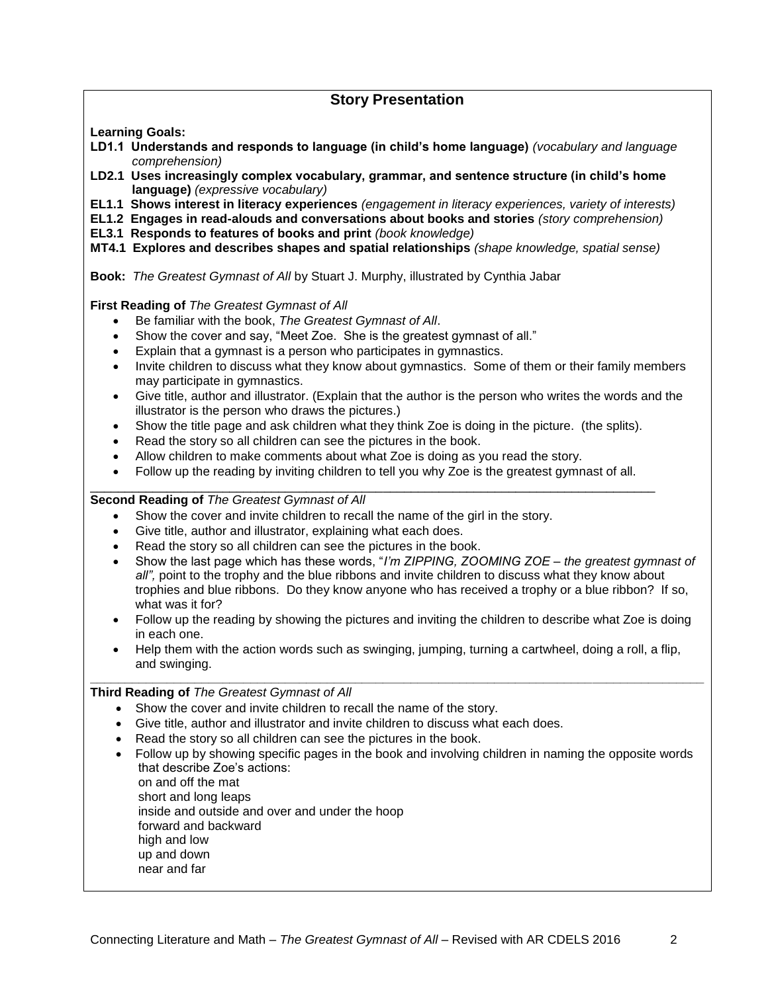## **Story Presentation**

**Learning Goals:**

- **LD1.1 Understands and responds to language (in child's home language)** *(vocabulary and language comprehension)*
- **LD2.1 Uses increasingly complex vocabulary, grammar, and sentence structure (in child's home language)** *(expressive vocabulary)*
- **EL1.1 Shows interest in literacy experiences** *(engagement in literacy experiences, variety of interests)*
- **EL1.2 Engages in read-alouds and conversations about books and stories** *(story comprehension)*
- **EL3.1 Responds to features of books and print** *(book knowledge)*
- **MT4.1 Explores and describes shapes and spatial relationships** *(shape knowledge, spatial sense)*

**Book:** *The Greatest Gymnast of All* by Stuart J. Murphy, illustrated by Cynthia Jabar

**First Reading of** *The Greatest Gymnast of All* 

- Be familiar with the book, *The Greatest Gymnast of All*.
- Show the cover and say, "Meet Zoe. She is the greatest gymnast of all."
- Explain that a gymnast is a person who participates in gymnastics.
- Invite children to discuss what they know about gymnastics. Some of them or their family members may participate in gymnastics.
- Give title, author and illustrator. (Explain that the author is the person who writes the words and the illustrator is the person who draws the pictures.)
- Show the title page and ask children what they think Zoe is doing in the picture. (the splits).
- Read the story so all children can see the pictures in the book.
- Allow children to make comments about what Zoe is doing as you read the story.
- Follow up the reading by inviting children to tell you why Zoe is the greatest gymnast of all.

#### \_\_\_\_\_\_\_\_\_\_\_\_\_\_\_\_\_\_\_\_\_\_\_\_\_\_\_\_\_\_\_\_\_\_\_\_\_\_\_\_\_\_\_\_\_\_\_\_\_\_\_\_\_\_\_\_\_\_\_\_\_\_\_\_\_\_\_\_\_\_\_\_\_\_\_\_\_\_\_\_\_ **Second Reading of** *The Greatest Gymnast of All*

- Show the cover and invite children to recall the name of the girl in the story.
- Give title, author and illustrator, explaining what each does.
- Read the story so all children can see the pictures in the book.
- Show the last page which has these words, "*I'm ZIPPING, ZOOMING ZOE – the greatest gymnast of all",* point to the trophy and the blue ribbons and invite children to discuss what they know about trophies and blue ribbons. Do they know anyone who has received a trophy or a blue ribbon? If so, what was it for?
- Follow up the reading by showing the pictures and inviting the children to describe what Zoe is doing in each one.
- Help them with the action words such as swinging, jumping, turning a cartwheel, doing a roll, a flip, and swinging. **\_\_\_\_\_\_\_\_\_\_\_\_\_\_\_\_\_\_\_\_\_\_\_\_\_\_\_\_\_\_\_\_\_\_\_\_\_\_\_\_\_\_\_\_\_\_\_\_\_\_\_\_\_\_\_\_\_\_\_\_\_\_\_\_\_\_\_\_\_\_\_\_\_\_\_\_\_\_\_\_\_\_\_\_\_\_\_\_**

**Third Reading of** *The Greatest Gymnast of All*

- Show the cover and invite children to recall the name of the story.
- Give title, author and illustrator and invite children to discuss what each does.
- Read the story so all children can see the pictures in the book.
- Follow up by showing specific pages in the book and involving children in naming the opposite words that describe Zoe's actions:

on and off the mat short and long leaps inside and outside and over and under the hoop forward and backward high and low up and down near and far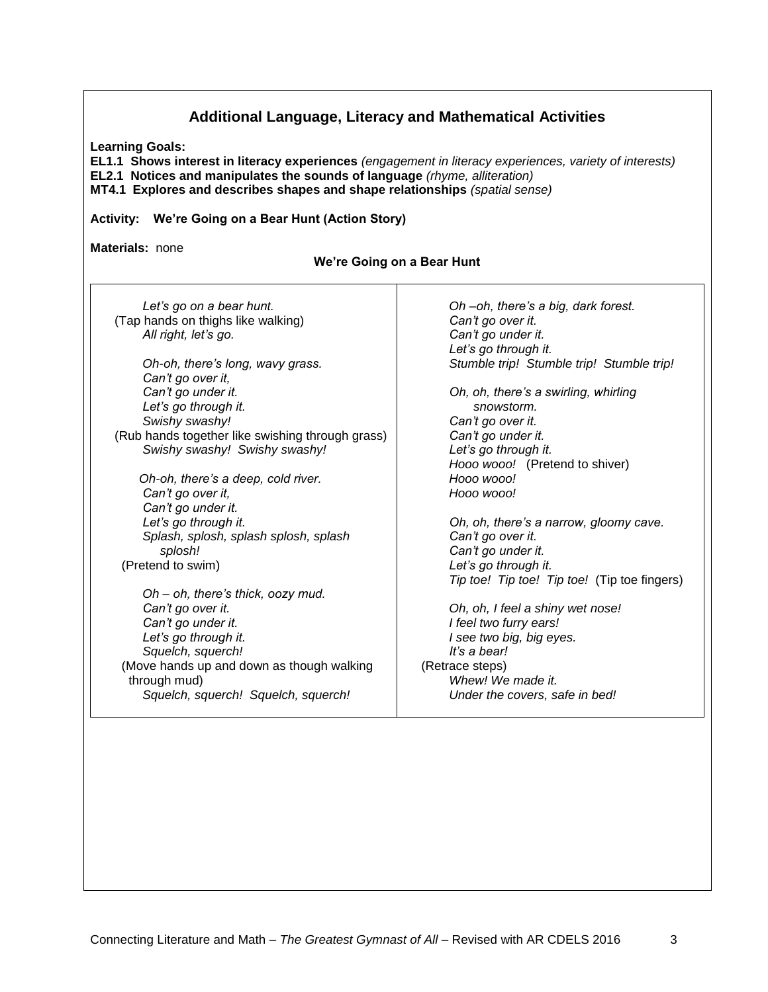| <b>Learning Goals:</b><br>EL1.1 Shows interest in literacy experiences (engagement in literacy experiences, variety of interests)<br>EL2.1 Notices and manipulates the sounds of language (rhyme, alliteration)<br>MT4.1 Explores and describes shapes and shape relationships (spatial sense)<br>Activity: We're Going on a Bear Hunt (Action Story)<br>Materials: none<br>We're Going on a Bear Hunt |                                              |  |                                    |                                     |
|--------------------------------------------------------------------------------------------------------------------------------------------------------------------------------------------------------------------------------------------------------------------------------------------------------------------------------------------------------------------------------------------------------|----------------------------------------------|--|------------------------------------|-------------------------------------|
|                                                                                                                                                                                                                                                                                                                                                                                                        |                                              |  | Let's go on a bear hunt.           | Oh -oh, there's a big, dark forest. |
|                                                                                                                                                                                                                                                                                                                                                                                                        |                                              |  | (Tap hands on thighs like walking) | Can't go over it.                   |
| All right, let's go.                                                                                                                                                                                                                                                                                                                                                                                   | Can't go under it.                           |  |                                    |                                     |
|                                                                                                                                                                                                                                                                                                                                                                                                        | Let's go through it.                         |  |                                    |                                     |
| Oh-oh, there's long, wavy grass.                                                                                                                                                                                                                                                                                                                                                                       | Stumble trip! Stumble trip! Stumble trip!    |  |                                    |                                     |
| Can't go over it,                                                                                                                                                                                                                                                                                                                                                                                      |                                              |  |                                    |                                     |
| Can't go under it.                                                                                                                                                                                                                                                                                                                                                                                     | Oh, oh, there's a swirling, whirling         |  |                                    |                                     |
| Let's go through it.                                                                                                                                                                                                                                                                                                                                                                                   | snowstorm.                                   |  |                                    |                                     |
| Swishy swashy!                                                                                                                                                                                                                                                                                                                                                                                         | Can't go over it.                            |  |                                    |                                     |
| (Rub hands together like swishing through grass)                                                                                                                                                                                                                                                                                                                                                       | Can't go under it.                           |  |                                    |                                     |
| Swishy swashy! Swishy swashy!                                                                                                                                                                                                                                                                                                                                                                          | Let's go through it.                         |  |                                    |                                     |
|                                                                                                                                                                                                                                                                                                                                                                                                        | Hooo wooo! (Pretend to shiver)               |  |                                    |                                     |
| Oh-oh, there's a deep, cold river.                                                                                                                                                                                                                                                                                                                                                                     | Hooo wooo!                                   |  |                                    |                                     |
| Can't go over it,                                                                                                                                                                                                                                                                                                                                                                                      | Hooo wooo!                                   |  |                                    |                                     |
| Can't go under it.                                                                                                                                                                                                                                                                                                                                                                                     |                                              |  |                                    |                                     |
| Let's go through it.                                                                                                                                                                                                                                                                                                                                                                                   | Oh, oh, there's a narrow, gloomy cave.       |  |                                    |                                     |
| Splash, splosh, splash splosh, splash                                                                                                                                                                                                                                                                                                                                                                  | Can't go over it.                            |  |                                    |                                     |
| splosh!                                                                                                                                                                                                                                                                                                                                                                                                | Can't go under it.                           |  |                                    |                                     |
| (Pretend to swim)                                                                                                                                                                                                                                                                                                                                                                                      | Let's go through it.                         |  |                                    |                                     |
|                                                                                                                                                                                                                                                                                                                                                                                                        | Tip toe! Tip toe! Tip toe! (Tip toe fingers) |  |                                    |                                     |
| Oh - oh, there's thick, oozy mud.                                                                                                                                                                                                                                                                                                                                                                      |                                              |  |                                    |                                     |
| Can't go over it.                                                                                                                                                                                                                                                                                                                                                                                      | Oh, oh, I feel a shiny wet nose!             |  |                                    |                                     |
| Can't go under it.                                                                                                                                                                                                                                                                                                                                                                                     | I feel two furry ears!                       |  |                                    |                                     |
| Let's go through it.                                                                                                                                                                                                                                                                                                                                                                                   | I see two big, big eyes.                     |  |                                    |                                     |
| Squelch, squerch!                                                                                                                                                                                                                                                                                                                                                                                      | It's a bear!                                 |  |                                    |                                     |
| (Move hands up and down as though walking                                                                                                                                                                                                                                                                                                                                                              | (Retrace steps)                              |  |                                    |                                     |
| through mud)                                                                                                                                                                                                                                                                                                                                                                                           | Whew! We made it.                            |  |                                    |                                     |
| Squelch, squerch! Squelch, squerch!                                                                                                                                                                                                                                                                                                                                                                    | Under the covers, safe in bed!               |  |                                    |                                     |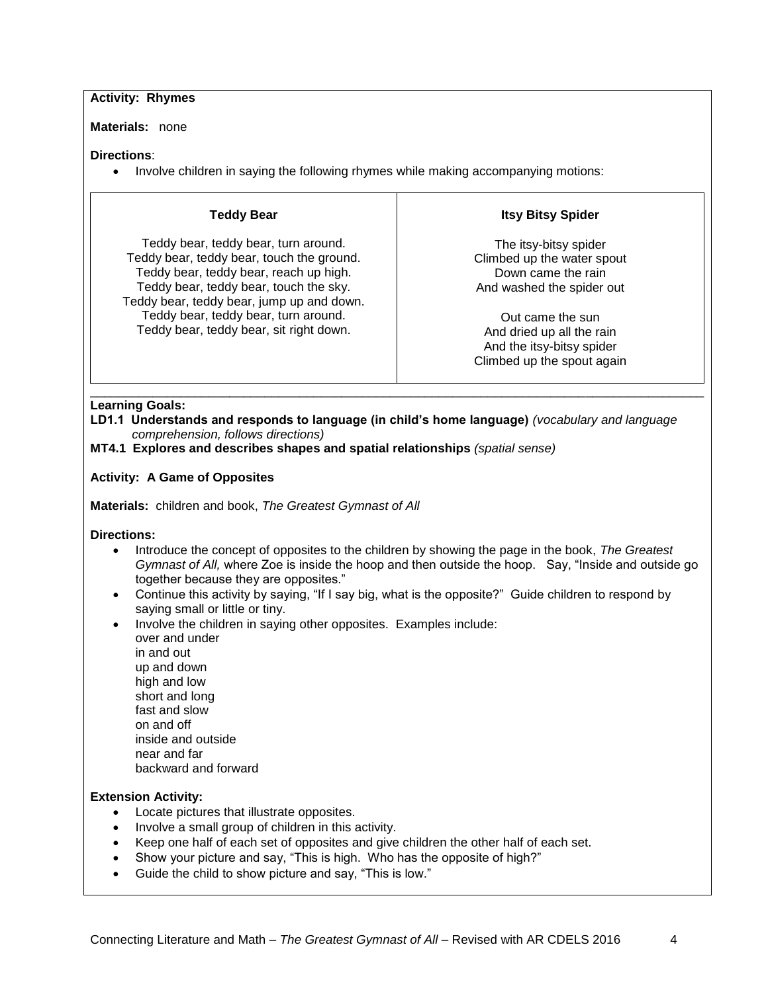#### **Activity: Rhymes**

**Materials:** none

#### **Directions**:

• Involve children in saying the following rhymes while making accompanying motions:

### **Teddy Bear**

Teddy bear, teddy bear, turn around. Teddy bear, teddy bear, touch the ground. Teddy bear, teddy bear, reach up high. Teddy bear, teddy bear, touch the sky. Teddy bear, teddy bear, jump up and down. Teddy bear, teddy bear, turn around. Teddy bear, teddy bear, sit right down.

## **Itsy Bitsy Spider**

The itsy-bitsy spider Climbed up the water spout Down came the rain And washed the spider out

Out came the sun And dried up all the rain And the itsy-bitsy spider Climbed up the spout again

#### \_\_\_\_\_\_\_\_\_\_\_\_\_\_\_\_\_\_\_\_\_\_\_\_\_\_\_\_\_\_\_\_\_\_\_\_\_\_\_\_\_\_\_\_\_\_\_\_\_\_\_\_\_\_\_\_\_\_\_\_\_\_\_\_\_\_\_\_\_\_\_\_\_\_\_\_\_\_\_\_\_\_\_\_\_\_\_\_ **Learning Goals:**

**LD1.1 Understands and responds to language (in child's home language)** *(vocabulary and language comprehension, follows directions)*

**MT4.1 Explores and describes shapes and spatial relationships** *(spatial sense)*

### **Activity: A Game of Opposites**

**Materials:** children and book, *The Greatest Gymnast of All*

#### **Directions:**

- Introduce the concept of opposites to the children by showing the page in the book, *The Greatest Gymnast of All,* where Zoe is inside the hoop and then outside the hoop. Say, "Inside and outside go together because they are opposites."
- Continue this activity by saying, "If I say big, what is the opposite?" Guide children to respond by saying small or little or tiny.
- Involve the children in saying other opposites. Examples include: over and under in and out up and down high and low short and long fast and slow on and off inside and outside near and far backward and forward

### **Extension Activity:**

- Locate pictures that illustrate opposites.
- Involve a small group of children in this activity.
- Keep one half of each set of opposites and give children the other half of each set.
- Show your picture and say, "This is high. Who has the opposite of high?"
- Guide the child to show picture and say, "This is low."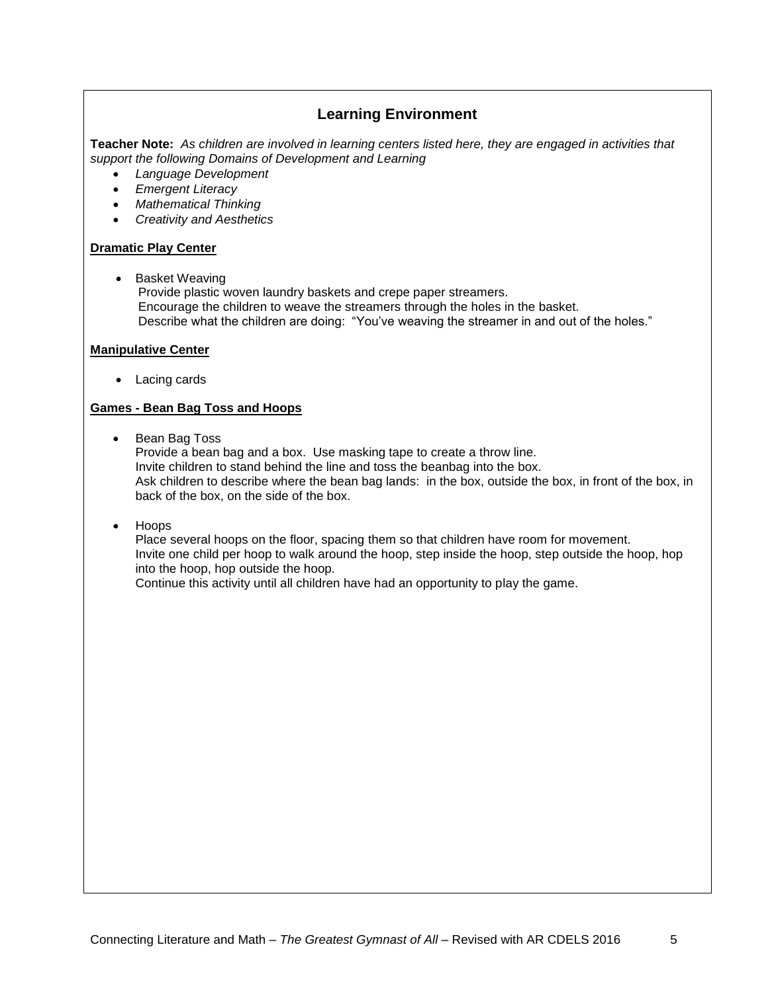# **Learning Environment**

**Teacher Note:** *As children are involved in learning centers listed here, they are engaged in activities that support the following Domains of Development and Learning*

- *Language Development*
- *Emergent Literacy*
- *Mathematical Thinking*
- *Creativity and Aesthetics*

#### **Dramatic Play Center**

• Basket Weaving

Provide plastic woven laundry baskets and crepe paper streamers. Encourage the children to weave the streamers through the holes in the basket. Describe what the children are doing: "You've weaving the streamer in and out of the holes."

#### **Manipulative Center**

• Lacing cards

#### **Games - Bean Bag Toss and Hoops**

• Bean Bag Toss

Provide a bean bag and a box. Use masking tape to create a throw line. Invite children to stand behind the line and toss the beanbag into the box. Ask children to describe where the bean bag lands: in the box, outside the box, in front of the box, in back of the box, on the side of the box.

Hoops

Place several hoops on the floor, spacing them so that children have room for movement. Invite one child per hoop to walk around the hoop, step inside the hoop, step outside the hoop, hop into the hoop, hop outside the hoop.

Continue this activity until all children have had an opportunity to play the game.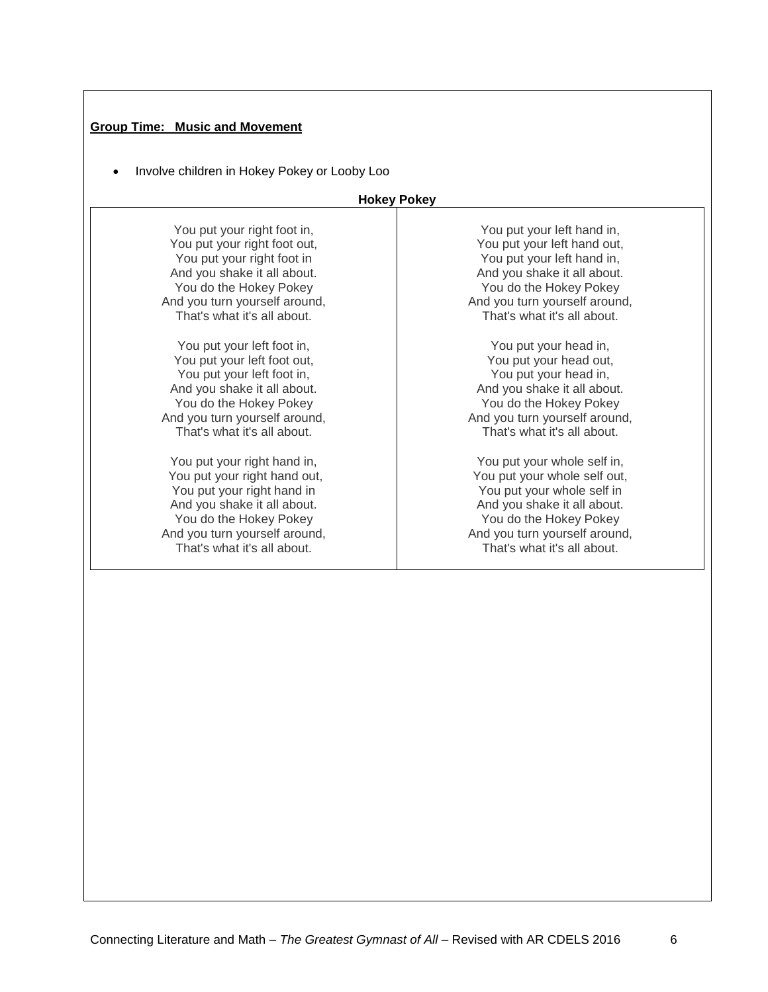## **Group Time: Music and Movement**

• Involve children in Hokey Pokey or Looby Loo

### **Hokey Pokey**

| You put your right foot in,   | You put your left hand in,    |
|-------------------------------|-------------------------------|
| You put your right foot out,  | You put your left hand out,   |
| You put your right foot in    | You put your left hand in,    |
| And you shake it all about.   | And you shake it all about.   |
| You do the Hokey Pokey        | You do the Hokey Pokey        |
| And you turn yourself around, | And you turn yourself around, |
| That's what it's all about.   | That's what it's all about.   |
| You put your left foot in,    | You put your head in,         |
| You put your left foot out,   | You put your head out,        |
| You put your left foot in,    | You put your head in,         |
| And you shake it all about.   | And you shake it all about.   |
| You do the Hokey Pokey        | You do the Hokey Pokey        |
| And you turn yourself around, | And you turn yourself around, |
| That's what it's all about.   | That's what it's all about.   |
| You put your right hand in,   | You put your whole self in,   |
| You put your right hand out,  | You put your whole self out,  |
| You put your right hand in    | You put your whole self in    |
| And you shake it all about.   | And you shake it all about.   |
| You do the Hokey Pokey        | You do the Hokey Pokey        |
| And you turn yourself around, | And you turn yourself around, |
| That's what it's all about.   | That's what it's all about.   |
|                               |                               |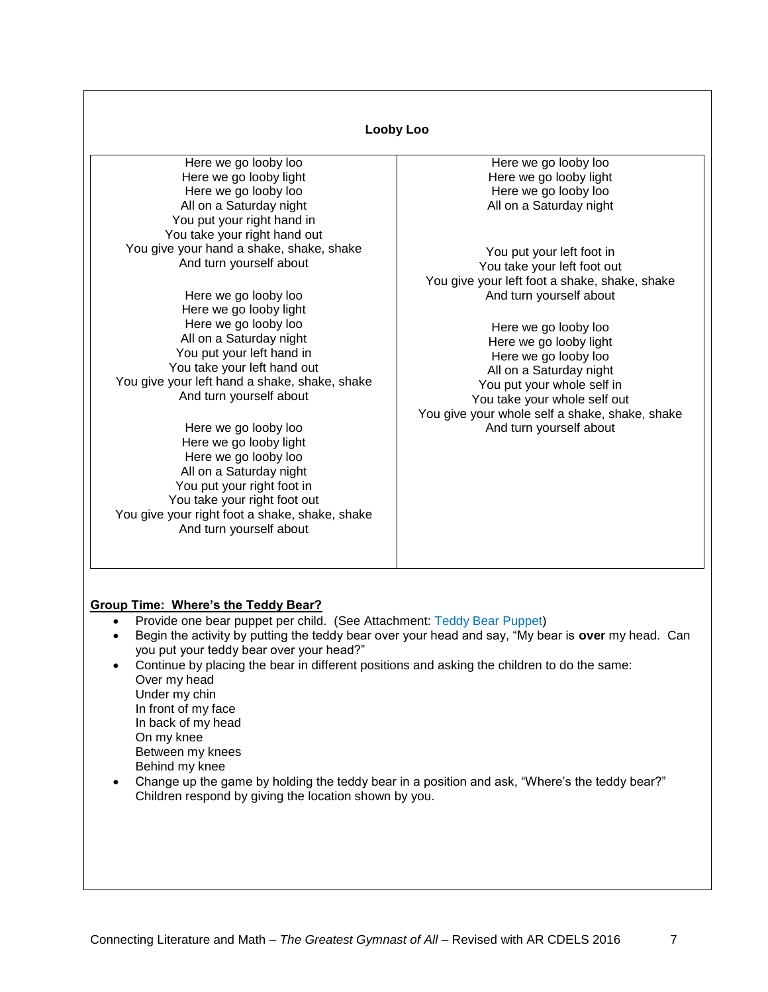| Looby Loo                                                                |                                                |  |
|--------------------------------------------------------------------------|------------------------------------------------|--|
| Here we go looby loo                                                     | Here we go looby loo                           |  |
| Here we go looby light                                                   | Here we go looby light                         |  |
| Here we go looby loo                                                     | Here we go looby loo                           |  |
| All on a Saturday night                                                  | All on a Saturday night                        |  |
| You put your right hand in                                               |                                                |  |
| You take your right hand out                                             |                                                |  |
| You give your hand a shake, shake, shake                                 | You put your left foot in                      |  |
| And turn yourself about                                                  | You take your left foot out                    |  |
|                                                                          | You give your left foot a shake, shake, shake  |  |
| Here we go looby loo                                                     | And turn yourself about                        |  |
| Here we go looby light                                                   |                                                |  |
| Here we go looby loo                                                     | Here we go looby loo                           |  |
| All on a Saturday night                                                  | Here we go looby light                         |  |
| You put your left hand in                                                | Here we go looby loo                           |  |
| You take your left hand out                                              | All on a Saturday night                        |  |
| You give your left hand a shake, shake, shake<br>And turn yourself about | You put your whole self in                     |  |
|                                                                          | You take your whole self out                   |  |
|                                                                          | You give your whole self a shake, shake, shake |  |
| Here we go looby loo                                                     | And turn yourself about                        |  |
| Here we go looby light                                                   |                                                |  |
| Here we go looby loo                                                     |                                                |  |
| All on a Saturday night                                                  |                                                |  |
| You put your right foot in<br>You take your right foot out               |                                                |  |
| You give your right foot a shake, shake, shake                           |                                                |  |
| And turn yourself about                                                  |                                                |  |
|                                                                          |                                                |  |

### **Group Time: Where's the Teddy Bear?**

- Provide one bear puppet per child. (See Attachment: Teddy Bear Puppet)
- Begin the activity by putting the teddy bear over your head and say, "My bear is **over** my head. Can you put your teddy bear over your head?"
- Continue by placing the bear in different positions and asking the children to do the same: Over my head Under my chin In front of my face In back of my head On my knee Between my knees Behind my knee
- Change up the game by holding the teddy bear in a position and ask, "Where's the teddy bear?" Children respond by giving the location shown by you.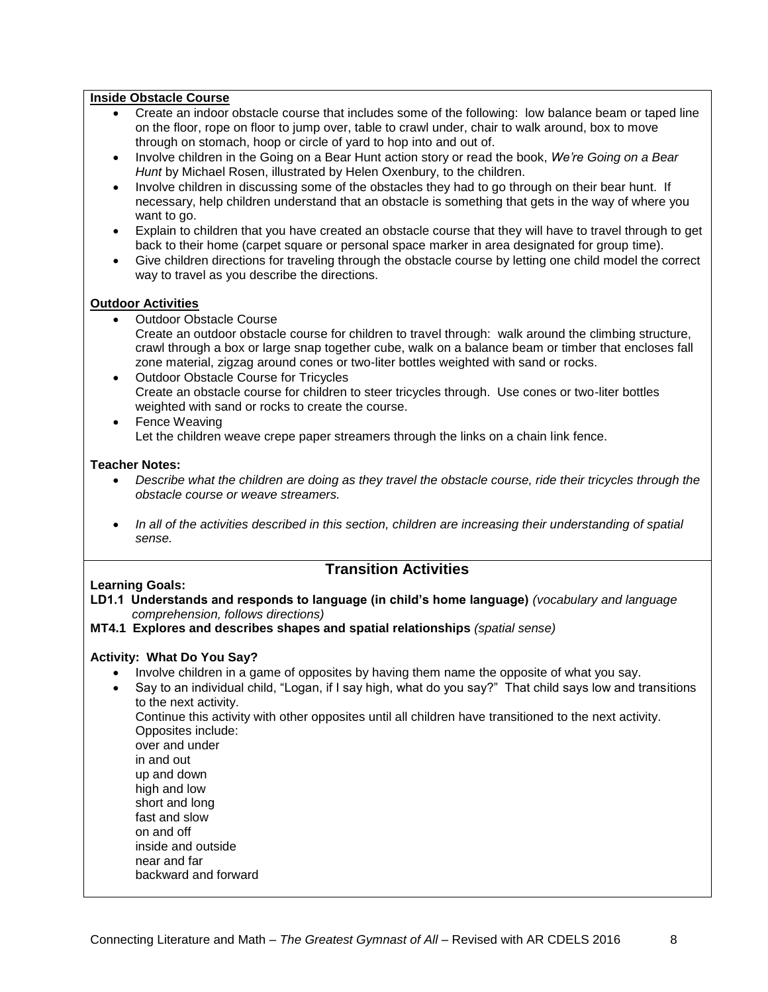#### **Inside Obstacle Course**

- Create an indoor obstacle course that includes some of the following: low balance beam or taped line on the floor, rope on floor to jump over, table to crawl under, chair to walk around, box to move through on stomach, hoop or circle of yard to hop into and out of.
- Involve children in the Going on a Bear Hunt action story or read the book, *We're Going on a Bear Hunt* by Michael Rosen, illustrated by Helen Oxenbury, to the children.
- Involve children in discussing some of the obstacles they had to go through on their bear hunt. If necessary, help children understand that an obstacle is something that gets in the way of where you want to go.
- Explain to children that you have created an obstacle course that they will have to travel through to get back to their home (carpet square or personal space marker in area designated for group time).
- Give children directions for traveling through the obstacle course by letting one child model the correct way to travel as you describe the directions.

#### **Outdoor Activities**

- Outdoor Obstacle Course Create an outdoor obstacle course for children to travel through: walk around the climbing structure, crawl through a box or large snap together cube, walk on a balance beam or timber that encloses fall zone material, zigzag around cones or two-liter bottles weighted with sand or rocks.
- Outdoor Obstacle Course for Tricycles Create an obstacle course for children to steer tricycles through. Use cones or two-liter bottles weighted with sand or rocks to create the course.
- Fence Weaving Let the children weave crepe paper streamers through the links on a chain link fence.

#### **Teacher Notes:**

- *Describe what the children are doing as they travel the obstacle course, ride their tricycles through the obstacle course or weave streamers.*
- *In all of the activities described in this section, children are increasing their understanding of spatial sense.*

## **Transition Activities**

#### **Learning Goals:**

**LD1.1 Understands and responds to language (in child's home language)** *(vocabulary and language comprehension, follows directions)*

#### **MT4.1 Explores and describes shapes and spatial relationships** *(spatial sense)*

### **Activity: What Do You Say?**

- Involve children in a game of opposites by having them name the opposite of what you say.
- Say to an individual child, "Logan, if I say high, what do you say?" That child says low and transitions to the next activity. Continue this activity with other opposites until all children have transitioned to the next activity. Opposites include: over and under in and out up and down high and low short and long fast and slow on and off inside and outside near and far backward and forward